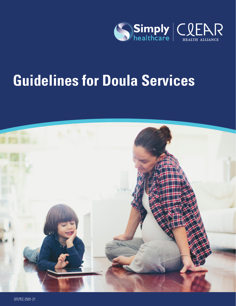

# **Guidelines for Doula Services**

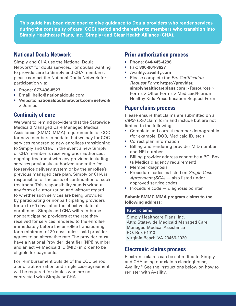**This guide has been developed to give guidance to Doula providers who render services during the continuity of care (COC) period and thereafter to members who transition into Simply Healthcare Plans, Inc. (Simply) and Clear Health Alliance (CHA).**

## **National Doula Network**

Simply and CHA use the National Doula Network\* for doula services. For doulas wanting to provide care to Simply and CHA members, please contact the National Doula Network for participation via:

- Phone: **877-436-8527**
- Email: hello@nationaldoula.com
- Website: **nationaldoulanetwork.com/network**  > Join us

## **Continuity of care**

We want to remind providers that the Statewide Medicaid Managed Care Managed Medical Assistance (SMMC MMA) requirements for COC for new members mandate that we pay for COC services rendered to new enrollees transitioning to Simply and CHA. In the event a new Simply or CHA member is receiving prior authorized, ongoing treatment with any provider, including services previously authorized under the feefor-service delivery system or by the enrollee's previous managed care plan, Simply or CHA is responsible for the costs of continuation of such treatment. This responsibility stands without any form of authorization and without regard to whether such services are being provided by participating or nonparticipating providers for up to 60 days after the effective date of enrollment. Simply and CHA will reimburse nonparticipating providers at the rate they received for services rendered to the enrollee immediately before the enrollee transitioning for a minimum of 30 days unless said provider agrees to an alternative rate. The provider must have a National Provider Identifier (NPI) number and an active Medicaid ID (MID) in order to be eligible for payments.

For reimbursement outside of the COC period, a prior authorization and single case agreement will be required for doulas who are not contracted with Simply or CHA.

## **Prior authorization process**

- Phone: **844-445-4296**
- Fax: **800-964-3627**
- Availity: **availity.com**
- Please complete the *Pre-Certification Request Form*: **https://provider. simplyhealthcareplans.com** > Resources > Forms > Other Forms > Medicaid/Florida Healthy Kids Precertification Request Form.

#### **Paper claims process**

Please ensure that claims are submitted on a *CMS-1500* claim form and include but are not limited to the following:

- Complete and correct member demographic (for example, DOB, Medicaid ID, etc.)
- Correct plan information
- Billing and rendering provider MID number and NPI number
- Billing provider address cannot be a P.O. Box (a Medicaid agency requirement)
- Member diagnosis
- Procedure codes as listed on *Single Case Agreement (SCA)* — also listed under approved service codes
- Procedure code diagnosis pointer

#### **Submit SMMC MMA program claims to the following address:**

#### **Paper claims**

Simply Healthcare Plans, Inc. Attn: Statewide Medicaid Managed Care Managed Medical Assistance P.O. Box 61010 Virginia Beach, VA 23466-1020

## **Electronic claims process**

Electronic claims can be submitted to Simply and CHA using our claims clearinghouse, Availity.\* See the instructions below on how to register with Availity.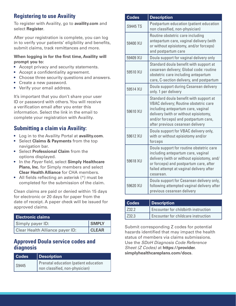# **Registering to use Availity**

To register with Availity, go to **[availity.com](http://www.availity.com)** and select **Register**.

After your registration is complete, you can log in to verify your patients' eligibility and benefits, submit claims, track remittances and more.

#### **When logging in for the first time, Availity will prompt you to:**

- Accept privacy and security statements.
- Accept a confidentiality agreement.
- Choose three security questions and answers.
- Create a new password.
- Verify your email address.

It's important that you don't share your user ID or password with others. You will receive a verification email after you enter this information. Select the link in the email to complete your registration with Availity.

# **Submitting a claim via Availity:**

- Log in to the Availity Portal at **[availity.com](http://www.availity.com)**.
- Select **Claims & Payments** from the top navigation bar.
- Select **Professional Claim** from the options displayed.
- In the *Payer* field, select **Simply Healthcare Plans, Inc.** for Simply members and select **Clear Health Alliance** for CHA members.
- All fields reflecting an asterisk (\*) must be completed for the submission of the claim.

Clean claims are paid or denied within 15 days for electronic or 20 days for paper from the date of receipt. A paper check will be issued for approved claims.

| <b>Electronic claims</b>        |              |
|---------------------------------|--------------|
| Simply payer ID:                | <b>SMPLY</b> |
| Clear Health Alliance payer ID: | <b>CLEAR</b> |

## **Approved Doula service codes and diagnosis**

| <b>Codes</b> | Description                           |
|--------------|---------------------------------------|
| S9445        | Prenatal education (patient education |
|              | non classified, non-physician)        |

| <b>Codes</b>    | <b>Description</b>                                                                                                                                                                                                                         |
|-----------------|--------------------------------------------------------------------------------------------------------------------------------------------------------------------------------------------------------------------------------------------|
| <b>S9445 TS</b> | Postpartum education (patient education<br>non classified, non-physician)                                                                                                                                                                  |
| 59400 XU        | Routine obstetric care including<br>antepartum care, vaginal delivery (with<br>or without episiotomy, and/or forceps)<br>and postpartum care                                                                                               |
| 59409 XU        | Doula support for vaginal delivery only                                                                                                                                                                                                    |
| 59510 XU        | Standard doula benefit with support at<br>cesarean delivery; Global code: routine<br>obstetric care including antepartum<br>care, C-section delivery, and postpartum                                                                       |
| 59514 XU        | Doula support during Cesarean delivery<br>only. 1 per delivery                                                                                                                                                                             |
| 59610 XU        | Standard doula benefit with support at<br>VBAC delivery; Routine obstetric care<br>including antepartum care, vaginal<br>delivery (with or without episiotomy,<br>and/or forceps) and postpartum care,<br>after previous cesarean delivery |
| 59612 XU        | Doula support for VBAC delivery only,<br>with or without episiotomy and/or<br>forceps                                                                                                                                                      |
| 59618 XU        | Doula support for routine obstetric care<br>including antepartum care, vaginal<br>delivery (with or without episiotomy, and/<br>or forceps) and postpartum care, after<br>failed attempt at vaginal delivery after<br>cesarean.            |
| 59620 XU        | Doula support for Cesarean delivery only,<br>following attempted vaginal delivery after<br>previous cesarean delivery                                                                                                                      |

| <b>Codes</b> | <b>Description</b>                   |
|--------------|--------------------------------------|
| 732.2        | Encounter for childbirth instruction |
| l 732.3      | Encounter for childcare instruction  |

Submit corresponding Z codes for potential hazards identified that may impact the health status of members via claims submissions. Use the *SDoH Diagnosis Code Reference Sheet (Z Codes)* at **https://provider. simplyhealthcareplans.com/docs***.*